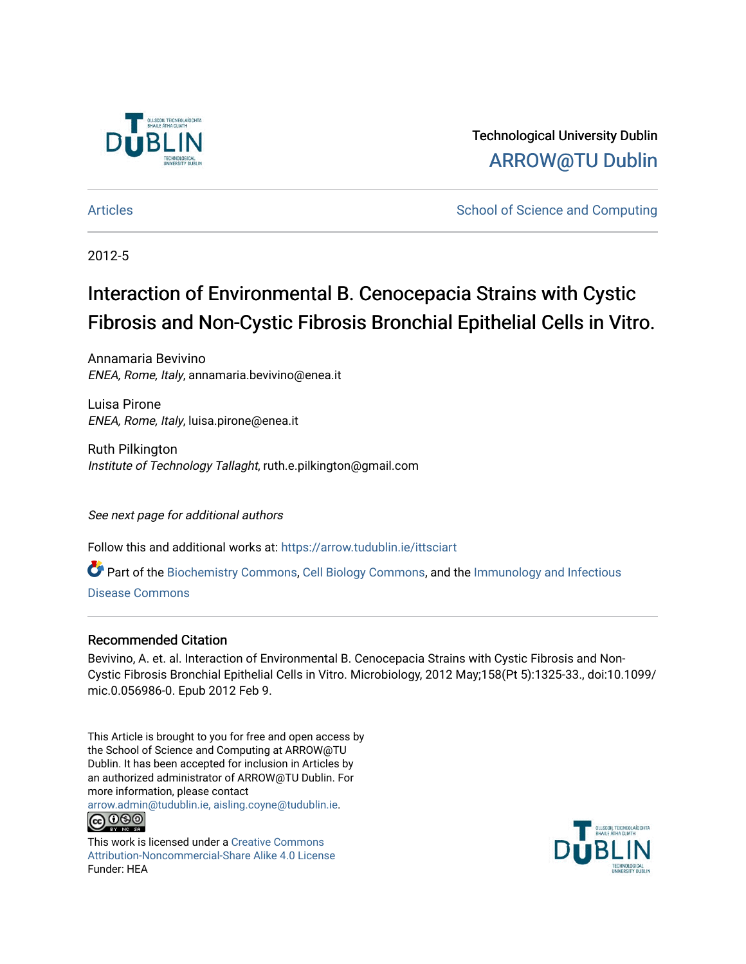

Technological University Dublin [ARROW@TU Dublin](https://arrow.tudublin.ie/) 

[Articles](https://arrow.tudublin.ie/ittsciart) **School of Science and Computing**  $\sim$  School of Science and Computing

2012-5

# Interaction of Environmental B. Cenocepacia Strains with Cystic Fibrosis and Non-Cystic Fibrosis Bronchial Epithelial Cells in Vitro.

Annamaria Bevivino ENEA, Rome, Italy, annamaria.bevivino@enea.it

Luisa Pirone ENEA, Rome, Italy, luisa.pirone@enea.it

Ruth Pilkington Institute of Technology Tallaght, ruth.e.pilkington@gmail.com

See next page for additional authors

Follow this and additional works at: [https://arrow.tudublin.ie/ittsciart](https://arrow.tudublin.ie/ittsciart?utm_source=arrow.tudublin.ie%2Fittsciart%2F22&utm_medium=PDF&utm_campaign=PDFCoverPages)

 $\bullet$  Part of the [Biochemistry Commons](http://network.bepress.com/hgg/discipline/2?utm_source=arrow.tudublin.ie%2Fittsciart%2F22&utm_medium=PDF&utm_campaign=PDFCoverPages), [Cell Biology Commons](http://network.bepress.com/hgg/discipline/10?utm_source=arrow.tudublin.ie%2Fittsciart%2F22&utm_medium=PDF&utm_campaign=PDFCoverPages), and the [Immunology and Infectious](http://network.bepress.com/hgg/discipline/33?utm_source=arrow.tudublin.ie%2Fittsciart%2F22&utm_medium=PDF&utm_campaign=PDFCoverPages) [Disease Commons](http://network.bepress.com/hgg/discipline/33?utm_source=arrow.tudublin.ie%2Fittsciart%2F22&utm_medium=PDF&utm_campaign=PDFCoverPages) 

# Recommended Citation

Bevivino, A. et. al. Interaction of Environmental B. Cenocepacia Strains with Cystic Fibrosis and Non-Cystic Fibrosis Bronchial Epithelial Cells in Vitro. Microbiology, 2012 May;158(Pt 5):1325-33., doi:10.1099/ mic.0.056986-0. Epub 2012 Feb 9.

This Article is brought to you for free and open access by the School of Science and Computing at ARROW@TU Dublin. It has been accepted for inclusion in Articles by an authorized administrator of ARROW@TU Dublin. For more information, please contact

[arrow.admin@tudublin.ie, aisling.coyne@tudublin.ie](mailto:arrow.admin@tudublin.ie,%20aisling.coyne@tudublin.ie). **@@@** 

This work is licensed under a [Creative Commons](http://creativecommons.org/licenses/by-nc-sa/4.0/) [Attribution-Noncommercial-Share Alike 4.0 License](http://creativecommons.org/licenses/by-nc-sa/4.0/) Funder: HEA

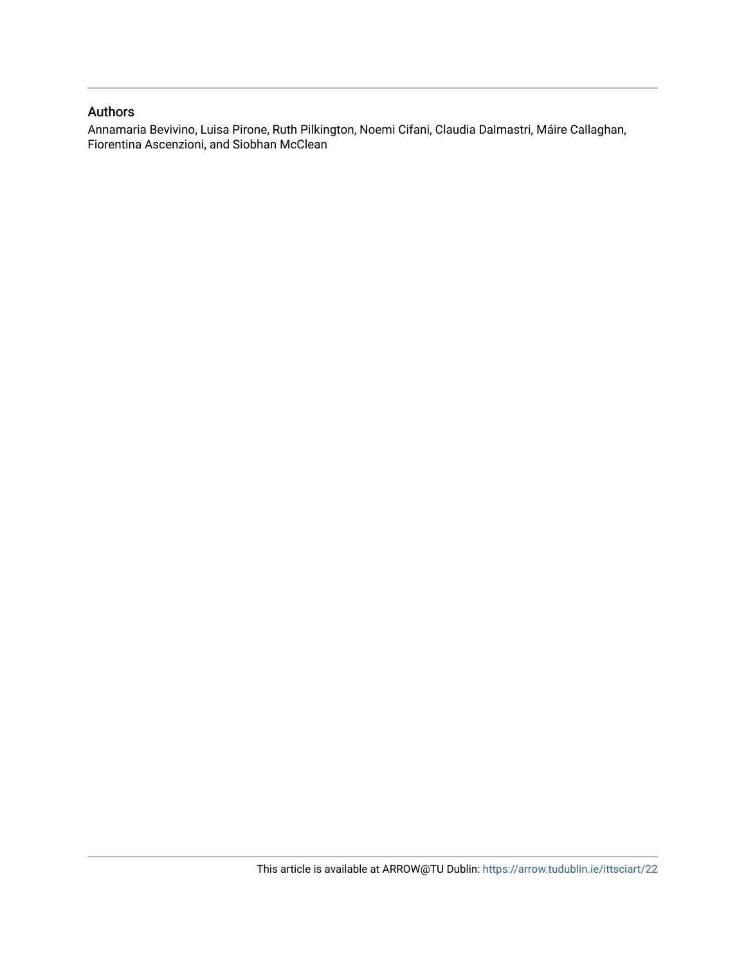# Authors

Annamaria Bevivino, Luisa Pirone, Ruth Pilkington, Noemi Cifani, Claudia Dalmastri, Máire Callaghan, Fiorentina Ascenzioni, and Siobhan McClean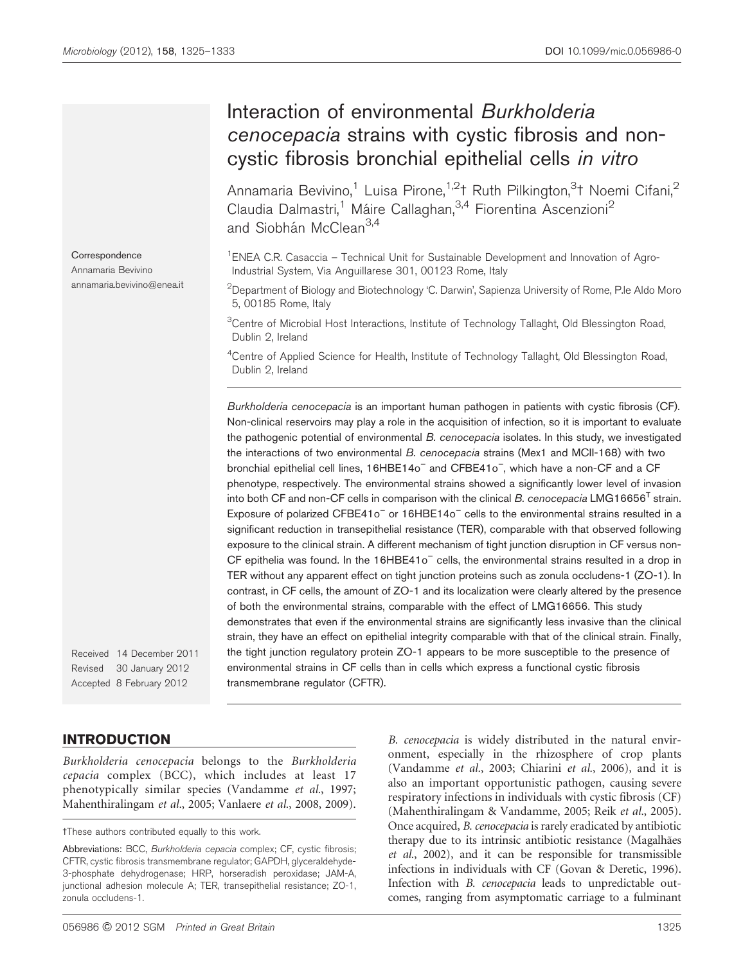# Interaction of environmental Burkholderia cenocepacia strains with cystic fibrosis and noncystic fibrosis bronchial epithelial cells in vitro

Annamaria Bevivino,<sup>1</sup> Luisa Pirone,<sup>1,2</sup>† Ruth Pilkington,<sup>3</sup>† Noemi Cifani,<sup>2</sup> Claudia Dalmastri,<sup>1</sup> Máire Callaghan,<sup>3,4</sup> Fiorentina Ascenzioni<sup>2</sup> and Siobhán McClean<sup>3,4</sup>

<sup>1</sup>ENEA C.R. Casaccia - Technical Unit for Sustainable Development and Innovation of Agro-Industrial System, Via Anguillarese 301, 00123 Rome, Italy

 $^2$ Department of Biology and Biotechnology 'C. Darwin', Sapienza University of Rome, P.le Aldo Moro 5, 00185 Rome, Italy

<sup>3</sup>Centre of Microbial Host Interactions, Institute of Technology Tallaght, Old Blessington Road, Dublin 2, Ireland

<sup>4</sup>Centre of Applied Science for Health, Institute of Technology Tallaght, Old Blessington Road, Dublin 2, Ireland

Burkholderia cenocepacia is an important human pathogen in patients with cystic fibrosis (CF). Non-clinical reservoirs may play a role in the acquisition of infection, so it is important to evaluate the pathogenic potential of environmental B. cenocepacia isolates. In this study, we investigated the interactions of two environmental B. cenocepacia strains (Mex1 and MCII-168) with two bronchial epithelial cell lines, 16HBE14o<sup>-</sup> and CFBE41o<sup>-</sup>, which have a non-CF and a CF phenotype, respectively. The environmental strains showed a significantly lower level of invasion into both CF and non-CF cells in comparison with the clinical  $B$ . cenocepacia LMG16656<sup>1</sup> strain. Exposure of polarized CFBE41o<sup>-</sup> or 16HBE14o<sup>-</sup> cells to the environmental strains resulted in a significant reduction in transepithelial resistance (TER), comparable with that observed following exposure to the clinical strain. A different mechanism of tight junction disruption in CF versus non- $CF$  epithelia was found. In the  $16HBE41o<sup>-</sup>$  cells, the environmental strains resulted in a drop in TER without any apparent effect on tight junction proteins such as zonula occludens-1 (ZO-1). In contrast, in CF cells, the amount of ZO-1 and its localization were clearly altered by the presence of both the environmental strains, comparable with the effect of LMG16656. This study demonstrates that even if the environmental strains are significantly less invasive than the clinical strain, they have an effect on epithelial integrity comparable with that of the clinical strain. Finally, the tight junction regulatory protein ZO-1 appears to be more susceptible to the presence of environmental strains in CF cells than in cells which express a functional cystic fibrosis transmembrane regulator (CFTR).

Received 14 December 2011 Revised 30 January 2012 Accepted 8 February 2012

### INTRODUCTION

Burkholderia cenocepacia belongs to the Burkholderia cepacia complex (BCC), which includes at least 17 phenotypically similar species ([Vandamme](#page-10-0) et al., 1997; [Mahenthiralingam](#page-9-0) et al., 2005; [Vanlaere](#page-10-0) et al., 2008, [2009\)](#page-10-0).

B. cenocepacia is widely distributed in the natural environment, especially in the rhizosphere of crop plants ([Vandamme](#page-10-0) et al., 2003; [Chiarini](#page-9-0) et al., 2006), and it is also an important opportunistic pathogen, causing severe respiratory infections in individuals with cystic fibrosis (CF) ([Mahenthiralingam & Vandamme, 2005;](#page-9-0) Reik et al.[, 2005\)](#page-9-0). Once acquired, B. cenocepacia is rarely eradicated by antibiotic therapy due to its intrinsic antibiotic resistance (Magalhães et al.[, 2002\)](#page-9-0), and it can be responsible for transmissible infections in individuals with CF [\(Govan & Deretic, 1996\)](#page-9-0). Infection with B. cenocepacia leads to unpredictable outcomes, ranging from asymptomatic carriage to a fulminant

**Correspondence** Annamaria Bevivino annamaria.bevivino@enea.it

tThese authors contributed equally to this work.

Abbreviations: BCC, Burkholderia cepacia complex; CF, cystic fibrosis; CFTR, cystic fibrosis transmembrane regulator; GAPDH, glyceraldehyde-3-phosphate dehydrogenase; HRP, horseradish peroxidase; JAM-A, junctional adhesion molecule A; TER, transepithelial resistance; ZO-1, zonula occludens-1.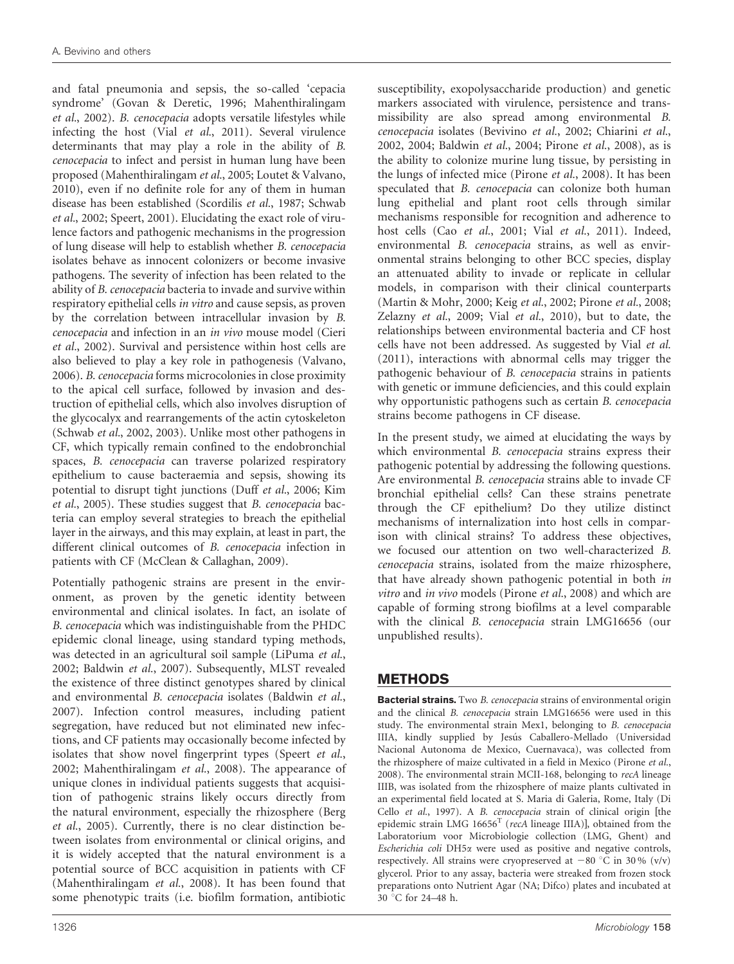and fatal pneumonia and sepsis, the so-called 'cepacia syndrome' ([Govan & Deretic, 1996](#page-9-0); [Mahenthiralingam](#page-9-0) et al.[, 2002](#page-9-0)). B. cenocepacia adopts versatile lifestyles while infecting the host (Vial et al.[, 2011\)](#page-10-0). Several virulence determinants that may play a role in the ability of B. cenocepacia to infect and persist in human lung have been proposed [\(Mahenthiralingam](#page-9-0) et al., 2005; [Loutet & Valvano,](#page-9-0) [2010](#page-9-0)), even if no definite role for any of them in human disease has been established [\(Scordilis](#page-9-0) et al., 1987; [Schwab](#page-9-0) et al.[, 2002; Speert, 2001](#page-9-0)). Elucidating the exact role of virulence factors and pathogenic mechanisms in the progression of lung disease will help to establish whether B. cenocepacia isolates behave as innocent colonizers or become invasive pathogens. The severity of infection has been related to the ability of B. cenocepacia bacteria to invade and survive within respiratory epithelial cells in vitro and cause sepsis, as proven by the correlation between intracellular invasion by B. cenocepacia and infection in an in vivo mouse model ([Cieri](#page-9-0) et al.[, 2002](#page-9-0)). Survival and persistence within host cells are also believed to play a key role in pathogenesis [\(Valvano,](#page-10-0) [2006](#page-10-0)). B. cenocepacia forms microcolonies in close proximity to the apical cell surface, followed by invasion and destruction of epithelial cells, which also involves disruption of the glycocalyx and rearrangements of the actin cytoskeleton [\(Schwab](#page-9-0) et al., 2002, [2003](#page-9-0)). Unlike most other pathogens in CF, which typically remain confined to the endobronchial spaces, B. cenocepacia can traverse polarized respiratory epithelium to cause bacteraemia and sepsis, showing its potential to disrupt tight junctions (Duff et al.[, 2006](#page-9-0); [Kim](#page-9-0) et al.[, 2005\)](#page-9-0). These studies suggest that B. cenocepacia bacteria can employ several strategies to breach the epithelial layer in the airways, and this may explain, at least in part, the different clinical outcomes of B. cenocepacia infection in patients with CF ([McClean & Callaghan, 2009\)](#page-9-0).

Potentially pathogenic strains are present in the environment, as proven by the genetic identity between environmental and clinical isolates. In fact, an isolate of B. cenocepacia which was indistinguishable from the PHDC epidemic clonal lineage, using standard typing methods, was detected in an agricultural soil sample [\(LiPuma](#page-9-0) et al., [2002](#page-9-0); [Baldwin](#page-8-0) et al., 2007). Subsequently, MLST revealed the existence of three distinct genotypes shared by clinical and environmental B. cenocepacia isolates [\(Baldwin](#page-8-0) et al., [2007](#page-8-0)). Infection control measures, including patient segregation, have reduced but not eliminated new infections, and CF patients may occasionally become infected by isolates that show novel fingerprint types ([Speert](#page-10-0) et al., [2002](#page-10-0); [Mahenthiralingam](#page-9-0) et al., 2008). The appearance of unique clones in individual patients suggests that acquisition of pathogenic strains likely occurs directly from the natural environment, especially the rhizosphere [\(Berg](#page-8-0) et al.[, 2005](#page-8-0)). Currently, there is no clear distinction between isolates from environmental or clinical origins, and it is widely accepted that the natural environment is a potential source of BCC acquisition in patients with CF [\(Mahenthiralingam](#page-9-0) et al., 2008). It has been found that some phenotypic traits (i.e. biofilm formation, antibiotic

susceptibility, exopolysaccharide production) and genetic markers associated with virulence, persistence and transmissibility are also spread among environmental B. cenocepacia isolates ([Bevivino](#page-8-0) et al., 2002; [Chiarini](#page-8-0) et al., [2002](#page-8-0), [2004](#page-8-0); [Baldwin](#page-8-0) et al., 2004; [Pirone](#page-9-0) et al., 2008), as is the ability to colonize murine lung tissue, by persisting in the lungs of infected mice ([Pirone](#page-9-0) et al., 2008). It has been speculated that B. cenocepacia can colonize both human lung epithelial and plant root cells through similar mechanisms responsible for recognition and adherence to host cells (Cao et al.[, 2001;](#page-8-0) Vial et al.[, 2011\)](#page-10-0). Indeed, environmental B. cenocepacia strains, as well as environmental strains belonging to other BCC species, display an attenuated ability to invade or replicate in cellular models, in comparison with their clinical counterparts [\(Martin & Mohr, 2000](#page-9-0); Keig et al.[, 2002](#page-9-0); [Pirone](#page-9-0) et al., 2008; [Zelazny](#page-10-0) et al., 2009; Vial et al.[, 2010](#page-10-0)), but to date, the relationships between environmental bacteria and CF host cells have not been addressed. As suggested by Vial [et al.](#page-10-0) [\(2011\),](#page-10-0) interactions with abnormal cells may trigger the pathogenic behaviour of B. cenocepacia strains in patients with genetic or immune deficiencies, and this could explain why opportunistic pathogens such as certain B. cenocepacia strains become pathogens in CF disease.

In the present study, we aimed at elucidating the ways by which environmental B. cenocepacia strains express their pathogenic potential by addressing the following questions. Are environmental B. cenocepacia strains able to invade CF bronchial epithelial cells? Can these strains penetrate through the CF epithelium? Do they utilize distinct mechanisms of internalization into host cells in comparison with clinical strains? To address these objectives, we focused our attention on two well-characterized B. cenocepacia strains, isolated from the maize rhizosphere, that have already shown pathogenic potential in both in vitro and in vivo models ([Pirone](#page-9-0) et al., 2008) and which are capable of forming strong biofilms at a level comparable with the clinical B. cenocepacia strain LMG16656 (our unpublished results).

# METHODS

**Bacterial strains.** Two *B. cenocepacia* strains of environmental origin and the clinical B. cenocepacia strain LMG16656 were used in this study. The environmental strain Mex1, belonging to B. cenocepacia IIIA, kindly supplied by Jesús Caballero-Mellado (Universidad Nacional Autonoma de Mexico, Cuernavaca), was collected from the rhizosphere of maize cultivated in a field in Mexico [\(Pirone](#page-9-0) et al., [2008\)](#page-9-0). The environmental strain MCII-168, belonging to recA lineage IIIB, was isolated from the rhizosphere of maize plants cultivated in an experimental field located at S. Maria di Galeria, Rome, Italy ([Di](#page-9-0) Cello et al.[, 1997\)](#page-9-0). A B. cenocepacia strain of clinical origin [the epidemic strain LMG  $16656<sup>T</sup>$  (recA lineage IIIA)], obtained from the Laboratorium voor Microbiologie collection (LMG, Ghent) and Escherichia coli DH5a were used as positive and negative controls, respectively. All strains were cryopreserved at  $-80$  °C in 30 % (v/v) glycerol. Prior to any assay, bacteria were streaked from frozen stock preparations onto Nutrient Agar (NA; Difco) plates and incubated at 30 °C for 24-48 h.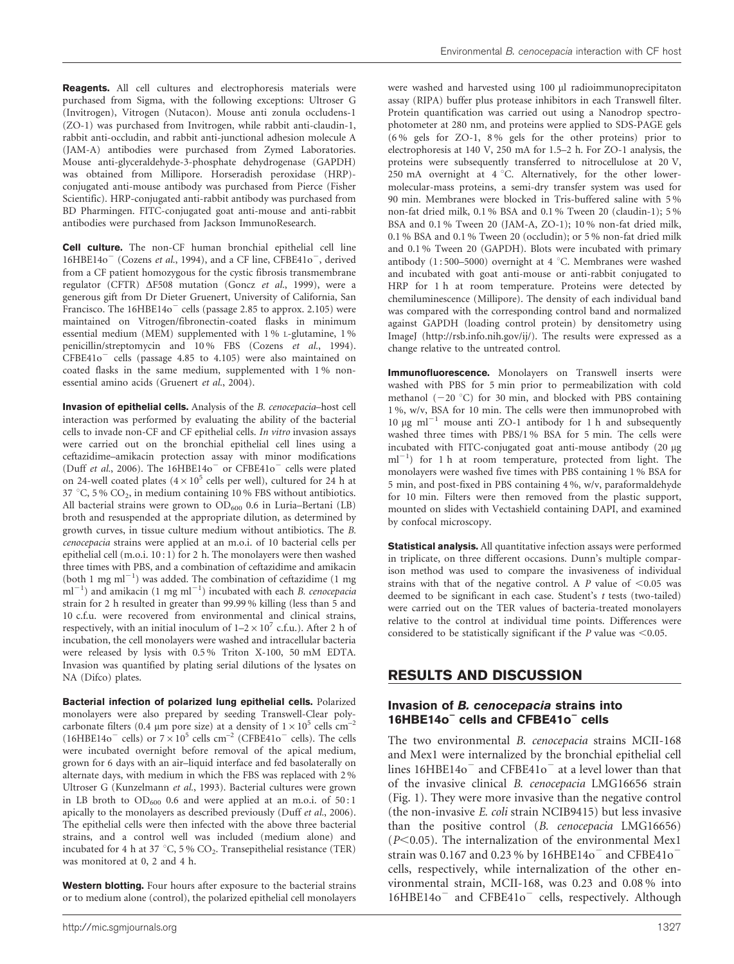Reagents. All cell cultures and electrophoresis materials were purchased from Sigma, with the following exceptions: Ultroser G (Invitrogen), Vitrogen (Nutacon). Mouse anti zonula occludens-1 (ZO-1) was purchased from Invitrogen, while rabbit anti-claudin-1, rabbit anti-occludin, and rabbit anti-junctional adhesion molecule A (JAM-A) antibodies were purchased from Zymed Laboratories. Mouse anti-glyceraldehyde-3-phosphate dehydrogenase (GAPDH) was obtained from Millipore. Horseradish peroxidase (HRP) conjugated anti-mouse antibody was purchased from Pierce (Fisher Scientific). HRP-conjugated anti-rabbit antibody was purchased from BD Pharmingen. FITC-conjugated goat anti-mouse and anti-rabbit antibodies were purchased from Jackson ImmunoResearch.

Cell culture. The non-CF human bronchial epithelial cell line  $16HBE14o^-$  ([Cozens](#page-9-0) et al., 1994), and a CF line, CFBE41o<sup>-</sup>, derived from a CF patient homozygous for the cystic fibrosis transmembrane regulator (CFTR)  $\Delta$ F508 mutation (Goncz et al.[, 1999](#page-9-0)), were a generous gift from Dr Dieter Gruenert, University of California, San Francisco. The  $16HBE14o^-$  cells (passage 2.85 to approx. 2.105) were maintained on Vitrogen/fibronectin-coated flasks in minimum essential medium (MEM) supplemented with 1 % L-glutamine, 1 % penicillin/streptomycin and 10 % FBS (Cozens et al.[, 1994\)](#page-9-0).  $CFBE41o^-$  cells (passage 4.85 to 4.105) were also maintained on coated flasks in the same medium, supplemented with 1 % nonessential amino acids ([Gruenert](#page-9-0) et al., 2004).

Invasion of epithelial cells. Analysis of the B. cenocepacia–host cell interaction was performed by evaluating the ability of the bacterial cells to invade non-CF and CF epithelial cells. In vitro invasion assays were carried out on the bronchial epithelial cell lines using a ceftazidime–amikacin protection assay with minor modifications (Duff et al.[, 2006](#page-9-0)). The  $16HBE14o$ <sup>-</sup> or CFBE41o<sup>-</sup> cells were plated on 24-well coated plates ( $4\times10^5$  cells per well), cultured for 24 h at 37 °C, 5 %  $CO<sub>2</sub>$ , in medium containing 10 % FBS without antibiotics. All bacterial strains were grown to  $OD_{600}$  0.6 in Luria–Bertani (LB) broth and resuspended at the appropriate dilution, as determined by growth curves, in tissue culture medium without antibiotics. The B. cenocepacia strains were applied at an m.o.i. of 10 bacterial cells per epithelial cell (m.o.i. 10 : 1) for 2 h. The monolayers were then washed three times with PBS, and a combination of ceftazidime and amikacin (both 1 mg  $ml^{-1}$ ) was added. The combination of ceftazidime (1 mg  $ml^{-1}$ ) and amikacin (1 mg ml<sup>-1</sup>) incubated with each *B. cenocepacia* strain for 2 h resulted in greater than 99.99 % killing (less than 5 and 10 c.f.u. were recovered from environmental and clinical strains, respectively, with an initial inoculum of  $1-2 \times 10^7$  c.f.u.). After 2 h of incubation, the cell monolayers were washed and intracellular bacteria were released by lysis with 0.5 % Triton X-100, 50 mM EDTA. Invasion was quantified by plating serial dilutions of the lysates on NA (Difco) plates.

Bacterial infection of polarized lung epithelial cells. Polarized monolayers were also prepared by seeding Transwell-Clear polycarbonate filters (0.4  $\mu$ m pore size) at a density of  $1\times10^5$  cells cm<sup>-2</sup> (16HBE14o<sup>-</sup> cells) or  $7 \times 10^5$  cells cm<sup>-2</sup> (CFBE41o<sup>-</sup> cells). The cells were incubated overnight before removal of the apical medium, grown for 6 days with an air–liquid interface and fed basolaterally on alternate days, with medium in which the FBS was replaced with 2 % Ultroser G ([Kunzelmann](#page-9-0) et al., 1993). Bacterial cultures were grown in LB broth to  $OD_{600}$  0.6 and were applied at an m.o.i. of 50:1 apically to the monolayers as described previously (Duff et al.[, 2006\)](#page-9-0). The epithelial cells were then infected with the above three bacterial strains, and a control well was included (medium alone) and incubated for 4 h at 37 °C, 5 %  $CO<sub>2</sub>$ . Transepithelial resistance (TER) was monitored at 0, 2 and 4 h.

Western blotting. Four hours after exposure to the bacterial strains or to medium alone (control), the polarized epithelial cell monolayers were washed and harvested using 100 µl radioimmunoprecipitaton assay (RIPA) buffer plus protease inhibitors in each Transwell filter. Protein quantification was carried out using a Nanodrop spectrophotometer at 280 nm, and proteins were applied to SDS-PAGE gels (6 % gels for ZO-1, 8 % gels for the other proteins) prior to electrophoresis at 140 V, 250 mA for 1.5–2 h. For ZO-1 analysis, the proteins were subsequently transferred to nitrocellulose at 20 V, 250 mA overnight at  $4^{\circ}$ C. Alternatively, for the other lowermolecular-mass proteins, a semi-dry transfer system was used for 90 min. Membranes were blocked in Tris-buffered saline with 5 % non-fat dried milk, 0.1 % BSA and 0.1 % Tween 20 (claudin-1); 5 % BSA and 0.1 % Tween 20 (JAM-A, ZO-1); 10 % non-fat dried milk, 0.1 % BSA and 0.1 % Tween 20 (occludin); or 5 % non-fat dried milk and 0.1 % Tween 20 (GAPDH). Blots were incubated with primary antibody  $(1:500-5000)$  overnight at 4 °C. Membranes were washed and incubated with goat anti-mouse or anti-rabbit conjugated to HRP for 1 h at room temperature. Proteins were detected by chemiluminescence (Millipore). The density of each individual band was compared with the corresponding control band and normalized against GAPDH (loading control protein) by densitometry using ImageJ (http://rsb.info.nih.gov/ij/). The results were expressed as a change relative to the untreated control.

Immunofluorescence. Monolayers on Transwell inserts were washed with PBS for 5 min prior to permeabilization with cold methanol  $(-20 °C)$  for 30 min, and blocked with PBS containing 1 %, w/v, BSA for 10 min. The cells were then immunoprobed with 10  $\mu$ g ml<sup>-1</sup> mouse anti ZO-1 antibody for 1 h and subsequently washed three times with PBS/1 % BSA for 5 min. The cells were incubated with FITC-conjugated goat anti-mouse antibody (20 µg ml<sup>-1</sup>) for 1 h at room temperature, protected from light. The monolayers were washed five times with PBS containing 1 % BSA for 5 min, and post-fixed in PBS containing 4 %, w/v, paraformaldehyde for 10 min. Filters were then removed from the plastic support, mounted on slides with Vectashield containing DAPI, and examined by confocal microscopy.

**Statistical analysis.** All quantitative infection assays were performed in triplicate, on three different occasions. Dunn's multiple comparison method was used to compare the invasiveness of individual strains with that of the negative control. A  $P$  value of <0.05 was deemed to be significant in each case. Student's t tests (two-tailed) were carried out on the TER values of bacteria-treated monolayers relative to the control at individual time points. Differences were considered to be statistically significant if the  $P$  value was <0.05.

# RESULTS AND DISCUSSION

#### Invasion of B. cenocepacia strains into 16HBE14o<sup>-</sup> cells and CFBE41o<sup>-</sup> cells

The two environmental B. cenocepacia strains MCII-168 and Mex1 were internalized by the bronchial epithelial cell lines  $16HBE14o$ <sup>-</sup> and CFBE41 $o$ <sup>-</sup> at a level lower than that of the invasive clinical B. cenocepacia LMG16656 strain ([Fig. 1\)](#page-5-0). They were more invasive than the negative control (the non-invasive E. coli strain NCIB9415) but less invasive than the positive control (B. cenocepacia LMG16656) ( $P<0.05$ ). The internalization of the environmental Mex1 strain was 0.167 and 0.23 % by 16HBE14o<sup>-</sup> and CFBE41o<sup>-</sup> cells, respectively, while internalization of the other environmental strain, MCII-168, was 0.23 and 0.08 % into 16HBE14o<sup>-</sup> and CFBE41o<sup>-</sup> cells, respectively. Although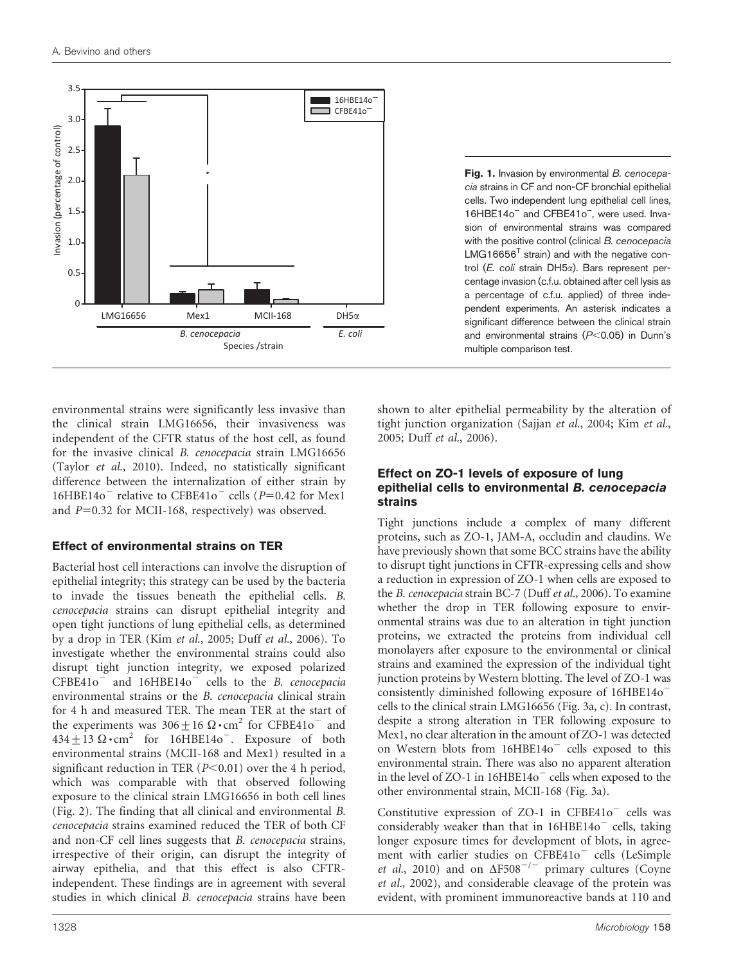<span id="page-5-0"></span>

Fig. 1. Invasion by environmental B. cenocepacia strains in CF and non-CF bronchial epithelial cells. Two independent lung epithelial cell lines, 16HBE14o<sup>-</sup> and CFBE41o<sup>-</sup>, were used. Invasion of environmental strains was compared with the positive control (clinical B. cenocepacia  $LMG16656<sup>T</sup>$  strain) and with the negative control (E. coli strain DH5x). Bars represent percentage invasion (c.f.u. obtained after cell lysis as a percentage of c.f.u. applied) of three independent experiments. An asterisk indicates a significant difference between the clinical strain and environmental strains  $(P< 0.05)$  in Dunn's multiple comparison test.

environmental strains were significantly less invasive than the clinical strain LMG16656, their invasiveness was independent of the CFTR status of the host cell, as found for the invasive clinical B. cenocepacia strain LMG16656 (Taylor et al.[, 2010](#page-10-0)). Indeed, no statistically significant difference between the internalization of either strain by  $16HBE14o^-$  relative to CFBE41o<sup>-</sup> cells (P=0.42 for Mex1 and  $P=0.32$  for MCII-168, respectively) was observed.

## Effect of environmental strains on TER

Bacterial host cell interactions can involve the disruption of epithelial integrity; this strategy can be used by the bacteria to invade the tissues beneath the epithelial cells. B. cenocepacia strains can disrupt epithelial integrity and open tight junctions of lung epithelial cells, as determined by a drop in TER (Kim et al.[, 2005](#page-9-0); Duff et al.[, 2006\)](#page-9-0). To investigate whether the environmental strains could also disrupt tight junction integrity, we exposed polarized  $CFBE41o^-$  and  $16HBE14o^-$  cells to the B. cenocepacia environmental strains or the B. cenocepacia clinical strain for 4 h and measured TER. The mean TER at the start of the experiments was  $306 \pm 16 \Omega \cdot \text{cm}^2$  for CFBE41o<sup>-</sup> and  $434 \pm 13 \Omega \cdot \text{cm}^2$  for 16HBE14o<sup>-</sup>. Exposure of both environmental strains (MCII-168 and Mex1) resulted in a significant reduction in TER  $(P<0.01)$  over the 4 h period, which was comparable with that observed following exposure to the clinical strain LMG16656 in both cell lines [\(Fig. 2\)](#page-6-0). The finding that all clinical and environmental B. cenocepacia strains examined reduced the TER of both CF and non-CF cell lines suggests that B. cenocepacia strains, irrespective of their origin, can disrupt the integrity of airway epithelia, and that this effect is also CFTRindependent. These findings are in agreement with several studies in which clinical B. cenocepacia strains have been

shown to alter epithelial permeability by the alteration of tight junction organization (Sajjan et al.[, 2004;](#page-9-0) Kim [et al.](#page-9-0), [2005](#page-9-0); Duff et al.[, 2006\)](#page-9-0).

#### Effect on ZO-1 levels of exposure of lung epithelial cells to environmental B. cenocepacia strains

Tight junctions include a complex of many different proteins, such as ZO-1, JAM-A, occludin and claudins. We have previously shown that some BCC strains have the ability to disrupt tight junctions in CFTR-expressing cells and show a reduction in expression of ZO-1 when cells are exposed to the B. cenocepacia strain BC-7 (Duff et al.[, 2006\)](#page-9-0). To examine whether the drop in TER following exposure to environmental strains was due to an alteration in tight junction proteins, we extracted the proteins from individual cell monolayers after exposure to the environmental or clinical strains and examined the expression of the individual tight junction proteins by Western blotting. The level of ZO-1 was consistently diminished following exposure of 16HBE14o<sup>-</sup> cells to the clinical strain LMG16656 [\(Fig. 3a, c\)](#page-6-0). In contrast, despite a strong alteration in TER following exposure to Mex1, no clear alteration in the amount of ZO-1 was detected on Western blots from 16HBE14o<sup>-</sup> cells exposed to this environmental strain. There was also no apparent alteration in the level of ZO-1 in  $16HBE14o^-$  cells when exposed to the other environmental strain, MCII-168 ([Fig. 3a\)](#page-6-0).

Constitutive expression of  $ZO-1$  in  $CFBE41o^-$  cells was considerably weaker than that in  $16HBE14o^-$  cells, taking longer exposure times for development of blots, in agree-ment with earlier studies on CFBE41o<sup>-</sup> cells ([LeSimple](#page-9-0) et al.[, 2010](#page-9-0)) and on  $\Delta$ F508<sup>-/-</sup> primary cultures ([Coyne](#page-9-0) et al.[, 2002](#page-9-0)), and considerable cleavage of the protein was evident, with prominent immunoreactive bands at 110 and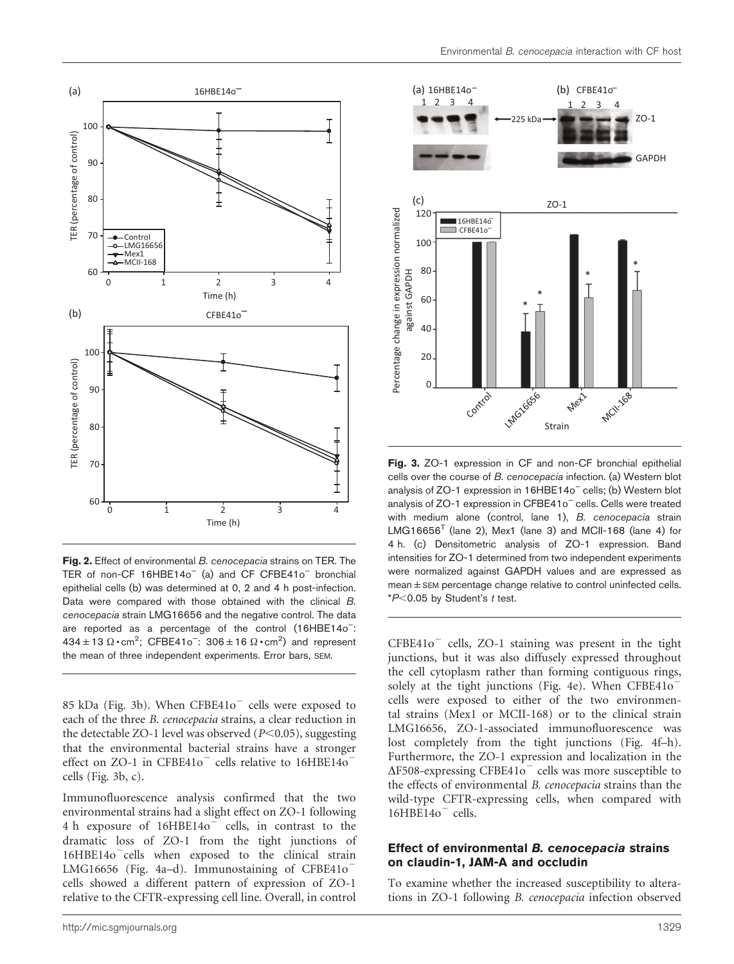<span id="page-6-0"></span>

Fig. 2. Effect of environmental B. cenocepacia strains on TER. The TER of non-CF 16HBE14o<sup>-</sup> (a) and CF CFBE41o<sup>-</sup> bronchial epithelial cells (b) was determined at 0, 2 and 4 h post-infection. Data were compared with those obtained with the clinical B. cenocepacia strain LMG16656 and the negative control. The data are reported as a percentage of the control (16HBE14o<sup>-</sup>:  $434 \pm 13 \Omega \cdot \text{cm}^2$ ; CFBE41o<sup>-</sup>:  $306 \pm 16 \Omega \cdot \text{cm}^2$ ) and represent the mean of three independent experiments. Error bars, SEM.

85 kDa (Fig. 3b). When  $CFBE41o^-$  cells were exposed to each of the three B. cenocepacia strains, a clear reduction in the detectable ZO-1 level was observed  $(P<0.05)$ , suggesting that the environmental bacterial strains have a stronger effect on ZO-1 in CFBE41o $^-$  cells relative to 16HBE14o $^$ cells (Fig. 3b, c).

Immunofluorescence analysis confirmed that the two environmental strains had a slight effect on ZO-1 following 4 h exposure of 16HBE14o<sup>-</sup> cells, in contrast to the dramatic loss of ZO-1 from the tight junctions of  $16HBE14o^-$ cells when exposed to the clinical strain LMG16656 ([Fig. 4a–d\)](#page-7-0). Immunostaining of CFBE41o<sup> $-$ </sup> cells showed a different pattern of expression of ZO-1 relative to the CFTR-expressing cell line. Overall, in control



Fig. 3. ZO-1 expression in CF and non-CF bronchial epithelial cells over the course of B. cenocepacia infection. (a) Western blot analysis of ZO-1 expression in 16HBE14o<sup>-</sup> cells; (b) Western blot analysis of ZO-1 expression in CFBE41o<sup>-</sup> cells. Cells were treated with medium alone (control, lane 1), B. cenocepacia strain  $LMG16656<sup>T</sup>$  (lane 2), Mex1 (lane 3) and MCII-168 (lane 4) for 4 h. (c) Densitometric analysis of ZO-1 expression. Band intensities for ZO-1 determined from two independent experiments were normalized against GAPDH values and are expressed as  $mean ±$  SEM percentage change relative to control uninfected cells.  $*P<0.05$  by Student's t test.

 $CFBE41o^-$  cells, ZO-1 staining was present in the tight junctions, but it was also diffusely expressed throughout the cell cytoplasm rather than forming contiguous rings, solely at the tight junctions ([Fig. 4e](#page-7-0)). When  $CFBE41o^$ cells were exposed to either of the two environmental strains (Mex1 or MCII-168) or to the clinical strain LMG16656, ZO-1-associated immunofluorescence was lost completely from the tight junctions [\(Fig. 4f–h\)](#page-7-0). Furthermore, the ZO-1 expression and localization in the  $\Delta$ F508-expressing CFBE41o<sup>-</sup> cells was more susceptible to the effects of environmental B. cenocepacia strains than the wild-type CFTR-expressing cells, when compared with  $16HBE14o$ <sup>-</sup> cells.

#### Effect of environmental B. cenocepacia strains on claudin-1, JAM-A and occludin

To examine whether the increased susceptibility to alterations in ZO-1 following B. cenocepacia infection observed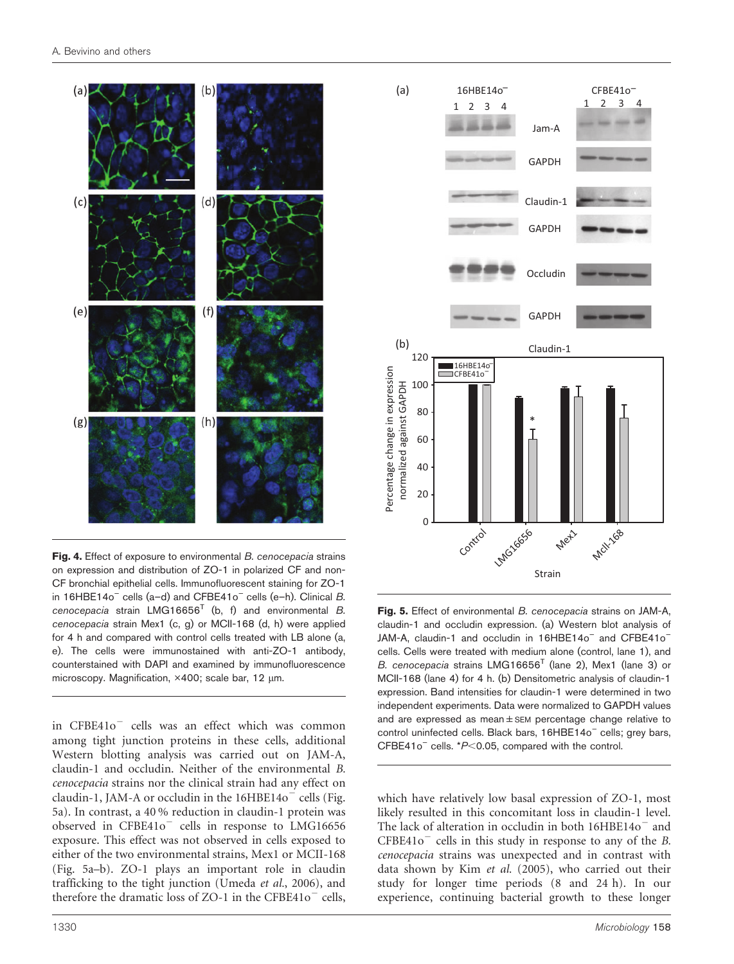<span id="page-7-0"></span>

Fig. 4. Effect of exposure to environmental B. cenocepacia strains on expression and distribution of ZO-1 in polarized CF and non-CF bronchial epithelial cells. Immunofluorescent staining for ZO-1 in 16HBE14o<sup>-</sup> cells (a-d) and CFBE41o<sup>-</sup> cells (e-h). Clinical  $B$ . cenocepacia strain  $LMG16656<sup>T</sup>$  (b, f) and environmental B. cenocepacia strain Mex1 (c, g) or MCII-168 (d, h) were applied for 4 h and compared with control cells treated with LB alone (a, e). The cells were immunostained with anti-ZO-1 antibody, counterstained with DAPI and examined by immunofluorescence microscopy. Magnification, ×400; scale bar, 12 µm.

in CFBE41o<sup>-</sup> cells was an effect which was common among tight junction proteins in these cells, additional Western blotting analysis was carried out on JAM-A, claudin-1 and occludin. Neither of the environmental B. cenocepacia strains nor the clinical strain had any effect on claudin-1, JAM-A or occludin in the  $16HBE14o^-$  cells (Fig. 5a). In contrast, a 40 % reduction in claudin-1 protein was observed in  $CFBE41o^-$  cells in response to LMG16656 exposure. This effect was not observed in cells exposed to either of the two environmental strains, Mex1 or MCII-168 (Fig. 5a–b). ZO-1 plays an important role in claudin trafficking to the tight junction [\(Umeda](#page-10-0) et al., 2006), and therefore the dramatic loss of ZO-1 in the CFBE41o $^-$  cells,



Fig. 5. Effect of environmental B. cenocepacia strains on JAM-A, claudin-1 and occludin expression. (a) Western blot analysis of JAM-A, claudin-1 and occludin in 16HBE14o<sup>-</sup> and CFBE41o<sup>-</sup> cells. Cells were treated with medium alone (control, lane 1), and B. cenocepacia strains LMG16656<sup>T</sup> (lane 2), Mex1 (lane 3) or MCII-168 (lane 4) for 4 h. (b) Densitometric analysis of claudin-1 expression. Band intensities for claudin-1 were determined in two independent experiments. Data were normalized to GAPDH values and are expressed as mean±SEM percentage change relative to control uninfected cells. Black bars, 16HBE14o<sup>-</sup> cells; grey bars, CFBE41 $o^-$  cells.  $*P<0.05$ , compared with the control.

which have relatively low basal expression of ZO-1, most likely resulted in this concomitant loss in claudin-1 level. The lack of alteration in occludin in both  $16HBE140^-$  and  $CFBE41o^-$  cells in this study in response to any of the B. cenocepacia strains was unexpected and in contrast with data shown by Kim et al. [\(2005\)](#page-9-0), who carried out their study for longer time periods (8 and 24 h). In our experience, continuing bacterial growth to these longer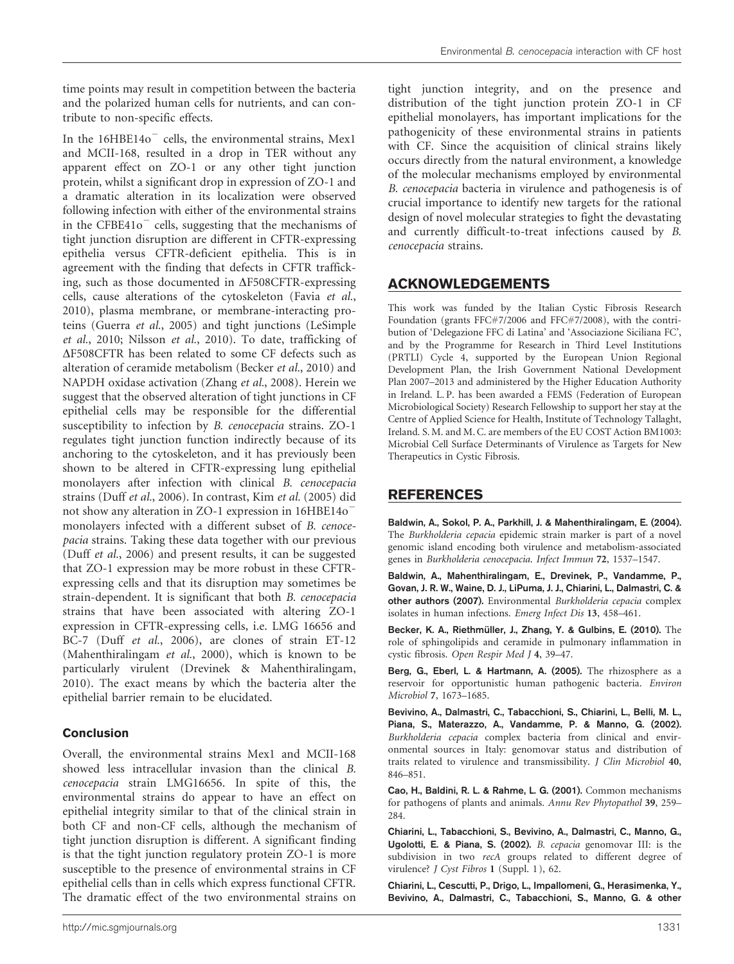<span id="page-8-0"></span>time points may result in competition between the bacteria and the polarized human cells for nutrients, and can contribute to non-specific effects.

In the  $16HBE14o^-$  cells, the environmental strains, Mex1 and MCII-168, resulted in a drop in TER without any apparent effect on ZO-1 or any other tight junction protein, whilst a significant drop in expression of ZO-1 and a dramatic alteration in its localization were observed following infection with either of the environmental strains in the CFBE41 $o^-$  cells, suggesting that the mechanisms of tight junction disruption are different in CFTR-expressing epithelia versus CFTR-deficient epithelia. This is in agreement with the finding that defects in CFTR trafficking, such as those documented in  $\Delta$ F508CFTR-expressing cells, cause alterations of the cytoskeleton (Favia [et al.](#page-9-0), [2010\)](#page-9-0), plasma membrane, or membrane-interacting proteins ([Guerra](#page-9-0) et al., 2005) and tight junctions ([LeSimple](#page-9-0) et al.[, 2010; Nilsson](#page-9-0) et al., 2010). To date, trafficking of  $\Delta$ F508CFTR has been related to some CF defects such as alteration of ceramide metabolism (Becker et al., 2010) and NAPDH oxidase activation ([Zhang](#page-10-0) et al., 2008). Herein we suggest that the observed alteration of tight junctions in CF epithelial cells may be responsible for the differential susceptibility to infection by B. cenocepacia strains. ZO-1 regulates tight junction function indirectly because of its anchoring to the cytoskeleton, and it has previously been shown to be altered in CFTR-expressing lung epithelial monolayers after infection with clinical B. cenocepacia strains (Duff et al.[, 2006\)](#page-9-0). In contrast, Kim et al. [\(2005\)](#page-9-0) did not show any alteration in ZO-1 expression in 16HBE14o<sup>-</sup> monolayers infected with a different subset of B. cenocepacia strains. Taking these data together with our previous (Duff et al.[, 2006](#page-9-0)) and present results, it can be suggested that ZO-1 expression may be more robust in these CFTRexpressing cells and that its disruption may sometimes be strain-dependent. It is significant that both B. cenocepacia strains that have been associated with altering ZO-1 expression in CFTR-expressing cells, i.e. LMG 16656 and BC-7 (Duff et al.[, 2006\)](#page-9-0), are clones of strain ET-12 ([Mahenthiralingam](#page-9-0) et al., 2000), which is known to be particularly virulent ([Drevinek & Mahenthiralingam,](#page-9-0) [2010\)](#page-9-0). The exact means by which the bacteria alter the epithelial barrier remain to be elucidated.

## Conclusion

Overall, the environmental strains Mex1 and MCII-168 showed less intracellular invasion than the clinical B. cenocepacia strain LMG16656. In spite of this, the environmental strains do appear to have an effect on epithelial integrity similar to that of the clinical strain in both CF and non-CF cells, although the mechanism of tight junction disruption is different. A significant finding is that the tight junction regulatory protein ZO-1 is more susceptible to the presence of environmental strains in CF epithelial cells than in cells which express functional CFTR. The dramatic effect of the two environmental strains on

tight junction integrity, and on the presence and distribution of the tight junction protein ZO-1 in CF epithelial monolayers, has important implications for the pathogenicity of these environmental strains in patients with CF. Since the acquisition of clinical strains likely occurs directly from the natural environment, a knowledge of the molecular mechanisms employed by environmental B. cenocepacia bacteria in virulence and pathogenesis is of crucial importance to identify new targets for the rational design of novel molecular strategies to fight the devastating and currently difficult-to-treat infections caused by B. cenocepacia strains.

# ACKNOWLEDGEMENTS

This work was funded by the Italian Cystic Fibrosis Research Foundation (grants FFC#7/2006 and FFC#7/2008), with the contribution of 'Delegazione FFC di Latina' and 'Associazione Siciliana FC', and by the Programme for Research in Third Level Institutions (PRTLI) Cycle 4, supported by the European Union Regional Development Plan, the Irish Government National Development Plan 2007–2013 and administered by the Higher Education Authority in Ireland. L. P. has been awarded a FEMS (Federation of European Microbiological Society) Research Fellowship to support her stay at the Centre of Applied Science for Health, Institute of Technology Tallaght, Ireland. S. M. and M. C. are members of the EU COST Action BM1003: Microbial Cell Surface Determinants of Virulence as Targets for New Therapeutics in Cystic Fibrosis.

# REFERENCES

Baldwin, A., Sokol, P. A., Parkhill, J. & Mahenthiralingam, E. (2004). The Burkholderia cepacia epidemic strain marker is part of a novel genomic island encoding both virulence and metabolism-associated genes in Burkholderia cenocepacia. Infect Immun 72, 1537–1547.

Baldwin, A., Mahenthiralingam, E., Drevinek, P., Vandamme, P., Govan, J. R. W., Waine, D. J., LiPuma, J. J., Chiarini, L., Dalmastri, C. & other authors (2007). Environmental Burkholderia cepacia complex isolates in human infections. Emerg Infect Dis 13, 458–461.

Becker, K. A., Riethmüller, J., Zhang, Y. & Gulbins, E. (2010). The role of sphingolipids and ceramide in pulmonary inflammation in cystic fibrosis. Open Respir Med J 4, 39–47.

Berg, G., Eberl, L. & Hartmann, A. (2005). The rhizosphere as a reservoir for opportunistic human pathogenic bacteria. Environ Microbiol 7, 1673–1685.

Bevivino, A., Dalmastri, C., Tabacchioni, S., Chiarini, L., Belli, M. L., Piana, S., Materazzo, A., Vandamme, P. & Manno, G. (2002). Burkholderia cepacia complex bacteria from clinical and environmental sources in Italy: genomovar status and distribution of traits related to virulence and transmissibility. J Clin Microbiol 40, 846–851.

Cao, H., Baldini, R. L. & Rahme, L. G. (2001). Common mechanisms for pathogens of plants and animals. Annu Rev Phytopathol 39, 259– 284.

Chiarini, L., Tabacchioni, S., Bevivino, A., Dalmastri, C., Manno, G., Ugolotti, E. & Piana, S. (2002). B. cepacia genomovar III: is the subdivision in two recA groups related to different degree of virulence? J Cyst Fibros 1 (Suppl. 1), 62.

Chiarini, L., Cescutti, P., Drigo, L., Impallomeni, G., Herasimenka, Y., Bevivino, A., Dalmastri, C., Tabacchioni, S., Manno, G. & other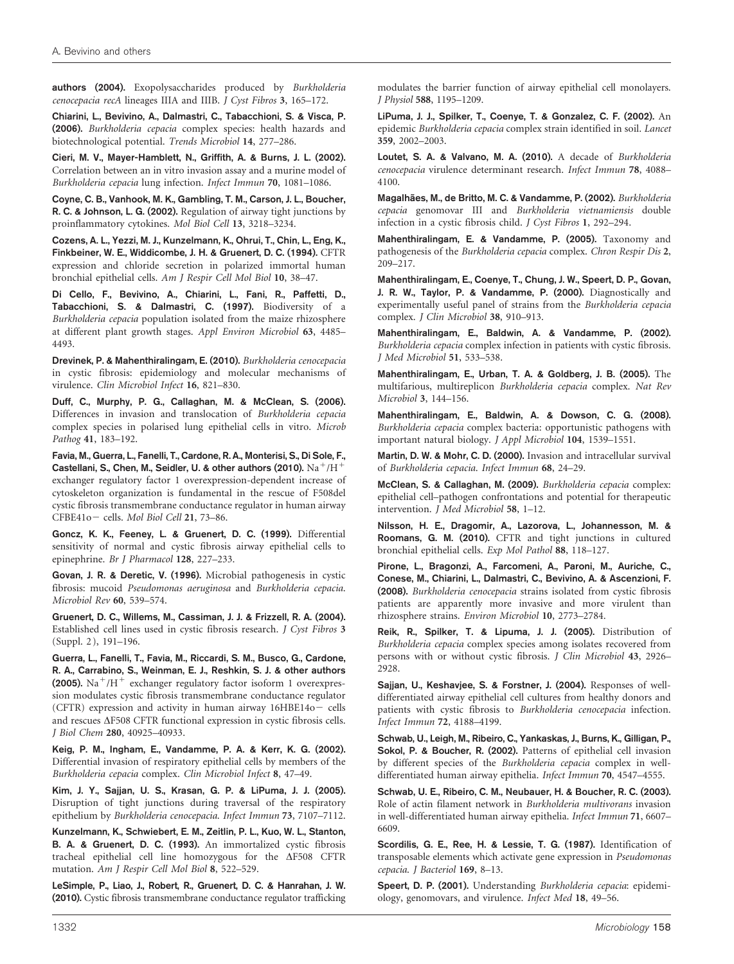<span id="page-9-0"></span>authors (2004). Exopolysaccharides produced by Burkholderia cenocepacia recA lineages IIIA and IIIB. J Cyst Fibros 3, 165–172.

Chiarini, L., Bevivino, A., Dalmastri, C., Tabacchioni, S. & Visca, P. (2006). Burkholderia cepacia complex species: health hazards and biotechnological potential. Trends Microbiol 14, 277–286.

Cieri, M. V., Mayer-Hamblett, N., Griffith, A. & Burns, J. L. (2002). Correlation between an in vitro invasion assay and a murine model of Burkholderia cepacia lung infection. Infect Immun 70, 1081–1086.

Coyne, C. B., Vanhook, M. K., Gambling, T. M., Carson, J. L., Boucher, R. C. & Johnson, L. G. (2002). Regulation of airway tight junctions by proinflammatory cytokines. Mol Biol Cell 13, 3218–3234.

Cozens, A. L., Yezzi, M. J., Kunzelmann, K., Ohrui, T., Chin, L., Eng, K., Finkbeiner, W. E., Widdicombe, J. H. & Gruenert, D. C. (1994). CFTR expression and chloride secretion in polarized immortal human bronchial epithelial cells. Am J Respir Cell Mol Biol 10, 38–47.

Di Cello, F., Bevivino, A., Chiarini, L., Fani, R., Paffetti, D., Tabacchioni, S. & Dalmastri, C. (1997). Biodiversity of a Burkholderia cepacia population isolated from the maize rhizosphere at different plant growth stages. Appl Environ Microbiol 63, 4485– 4493.

Drevinek, P. & Mahenthiralingam, E. (2010). Burkholderia cenocepacia in cystic fibrosis: epidemiology and molecular mechanisms of virulence. Clin Microbiol Infect 16, 821–830.

Duff, C., Murphy, P. G., Callaghan, M. & McClean, S. (2006). Differences in invasion and translocation of Burkholderia cepacia complex species in polarised lung epithelial cells in vitro. Microb Pathog 41, 183–192.

Favia, M., Guerra, L., Fanelli, T., Cardone, R. A., Monterisi, S., Di Sole, F., Castellani, S., Chen, M., Seidler, U. & other authors (2010).  $\rm Na^+/H^+$ exchanger regulatory factor 1 overexpression-dependent increase of cytoskeleton organization is fundamental in the rescue of F508del cystic fibrosis transmembrane conductance regulator in human airway CFBE41o- cells. Mol Biol Cell 21, 73-86.

Goncz, K. K., Feeney, L. & Gruenert, D. C. (1999). Differential sensitivity of normal and cystic fibrosis airway epithelial cells to epinephrine. Br J Pharmacol 128, 227–233.

Govan, J. R. & Deretic, V. (1996). Microbial pathogenesis in cystic fibrosis: mucoid Pseudomonas aeruginosa and Burkholderia cepacia. Microbiol Rev 60, 539–574.

Gruenert, D. C., Willems, M., Cassiman, J. J. & Frizzell, R. A. (2004). Established cell lines used in cystic fibrosis research. J Cyst Fibros 3 (Suppl. 2 ), 191–196.

Guerra, L., Fanelli, T., Favia, M., Riccardi, S. M., Busco, G., Cardone, R. A., Carrabino, S., Weinman, E. J., Reshkin, S. J. & other authors (2005). Na<sup>+</sup>/H<sup>+</sup> exchanger regulatory factor isoform 1 overexpression modulates cystic fibrosis transmembrane conductance regulator (CFTR) expression and activity in human airway  $16HBE140 -$  cells and rescues  $\Delta$ F508 CFTR functional expression in cystic fibrosis cells. J Biol Chem 280, 40925–40933.

Keig, P. M., Ingham, E., Vandamme, P. A. & Kerr, K. G. (2002). Differential invasion of respiratory epithelial cells by members of the Burkholderia cepacia complex. Clin Microbiol Infect 8, 47–49.

Kim, J. Y., Sajjan, U. S., Krasan, G. P. & LiPuma, J. J. (2005). Disruption of tight junctions during traversal of the respiratory epithelium by Burkholderia cenocepacia. Infect Immun 73, 7107–7112.

Kunzelmann, K., Schwiebert, E. M., Zeitlin, P. L., Kuo, W. L., Stanton, B. A. & Gruenert, D. C. (1993). An immortalized cystic fibrosis tracheal epithelial cell line homozygous for the  $\Delta$ F508 CFTR mutation. Am J Respir Cell Mol Biol 8, 522–529.

LeSimple, P., Liao, J., Robert, R., Gruenert, D. C. & Hanrahan, J. W. (2010). Cystic fibrosis transmembrane conductance regulator trafficking modulates the barrier function of airway epithelial cell monolayers. J Physiol 588, 1195–1209.

LiPuma, J. J., Spilker, T., Coenye, T. & Gonzalez, C. F. (2002). An epidemic Burkholderia cepacia complex strain identified in soil. Lancet 359, 2002–2003.

Loutet, S. A. & Valvano, M. A. (2010). A decade of Burkholderia cenocepacia virulence determinant research. Infect Immun 78, 4088– 4100.

Magalhães, M., de Britto, M. C. & Vandamme, P. (2002). Burkholderia cepacia genomovar III and Burkholderia vietnamiensis double infection in a cystic fibrosis child. J Cyst Fibros 1, 292–294.

Mahenthiralingam, E. & Vandamme, P. (2005). Taxonomy and pathogenesis of the Burkholderia cepacia complex. Chron Respir Dis 2, 209–217.

Mahenthiralingam, E., Coenye, T., Chung, J. W., Speert, D. P., Govan, J. R. W., Taylor, P. & Vandamme, P. (2000). Diagnostically and experimentally useful panel of strains from the Burkholderia cepacia complex. J Clin Microbiol 38, 910–913.

Mahenthiralingam, E., Baldwin, A. & Vandamme, P. (2002). Burkholderia cepacia complex infection in patients with cystic fibrosis. J Med Microbiol 51, 533–538.

Mahenthiralingam, E., Urban, T. A. & Goldberg, J. B. (2005). The multifarious, multireplicon Burkholderia cepacia complex. Nat Rev Microbiol 3, 144–156.

Mahenthiralingam, E., Baldwin, A. & Dowson, C. G. (2008). Burkholderia cepacia complex bacteria: opportunistic pathogens with important natural biology. J Appl Microbiol 104, 1539–1551.

Martin, D. W. & Mohr, C. D. (2000). Invasion and intracellular survival of Burkholderia cepacia. Infect Immun 68, 24–29.

McClean, S. & Callaghan, M. (2009). Burkholderia cepacia complex: epithelial cell–pathogen confrontations and potential for therapeutic intervention. J Med Microbiol 58, 1–12.

Nilsson, H. E., Dragomir, A., Lazorova, L., Johannesson, M. & Roomans, G. M. (2010). CFTR and tight junctions in cultured bronchial epithelial cells. Exp Mol Pathol 88, 118–127.

Pirone, L., Bragonzi, A., Farcomeni, A., Paroni, M., Auriche, C., Conese, M., Chiarini, L., Dalmastri, C., Bevivino, A. & Ascenzioni, F. (2008). Burkholderia cenocepacia strains isolated from cystic fibrosis patients are apparently more invasive and more virulent than rhizosphere strains. Environ Microbiol 10, 2773–2784.

Reik, R., Spilker, T. & Lipuma, J. J. (2005). Distribution of Burkholderia cepacia complex species among isolates recovered from persons with or without cystic fibrosis. J Clin Microbiol 43, 2926– 2928.

Sajjan, U., Keshavjee, S. & Forstner, J. (2004). Responses of welldifferentiated airway epithelial cell cultures from healthy donors and patients with cystic fibrosis to Burkholderia cenocepacia infection. Infect Immun 72, 4188–4199.

Schwab, U., Leigh, M., Ribeiro, C., Yankaskas, J., Burns, K., Gilligan, P., Sokol, P. & Boucher, R. (2002). Patterns of epithelial cell invasion by different species of the Burkholderia cepacia complex in welldifferentiated human airway epithelia. Infect Immun 70, 4547–4555.

Schwab, U. E., Ribeiro, C. M., Neubauer, H. & Boucher, R. C. (2003). Role of actin filament network in Burkholderia multivorans invasion in well-differentiated human airway epithelia. Infect Immun 71, 6607– 6609.

Scordilis, G. E., Ree, H. & Lessie, T. G. (1987). Identification of transposable elements which activate gene expression in Pseudomonas cepacia. J Bacteriol 169, 8–13.

Speert, D. P. (2001). Understanding Burkholderia cepacia: epidemiology, genomovars, and virulence. Infect Med 18, 49–56.